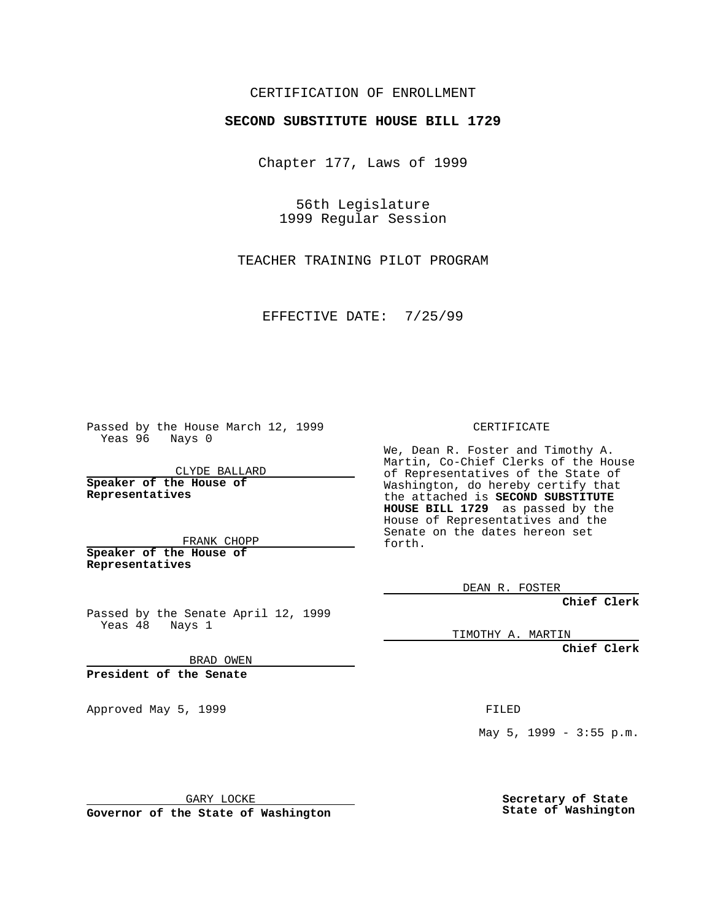## CERTIFICATION OF ENROLLMENT

## **SECOND SUBSTITUTE HOUSE BILL 1729**

Chapter 177, Laws of 1999

56th Legislature 1999 Regular Session

TEACHER TRAINING PILOT PROGRAM

EFFECTIVE DATE: 7/25/99

Passed by the House March 12, 1999 Yeas 96 Nays 0

CLYDE BALLARD **Speaker of the House of Representatives**

FRANK CHOPP **Speaker of the House of Representatives**

Passed by the Senate April 12, 1999 Yeas 48 Nays 1

BRAD OWEN

**President of the Senate**

Approved May 5, 1999 **FILED** 

GARY LOCKE

**Governor of the State of Washington**

CERTIFICATE

We, Dean R. Foster and Timothy A. Martin, Co-Chief Clerks of the House of Representatives of the State of Washington, do hereby certify that the attached is **SECOND SUBSTITUTE HOUSE BILL 1729** as passed by the House of Representatives and the Senate on the dates hereon set forth.

DEAN R. FOSTER

**Chief Clerk**

TIMOTHY A. MARTIN

**Chief Clerk**

May  $5, 1999 - 3:55 p.m.$ 

**Secretary of State State of Washington**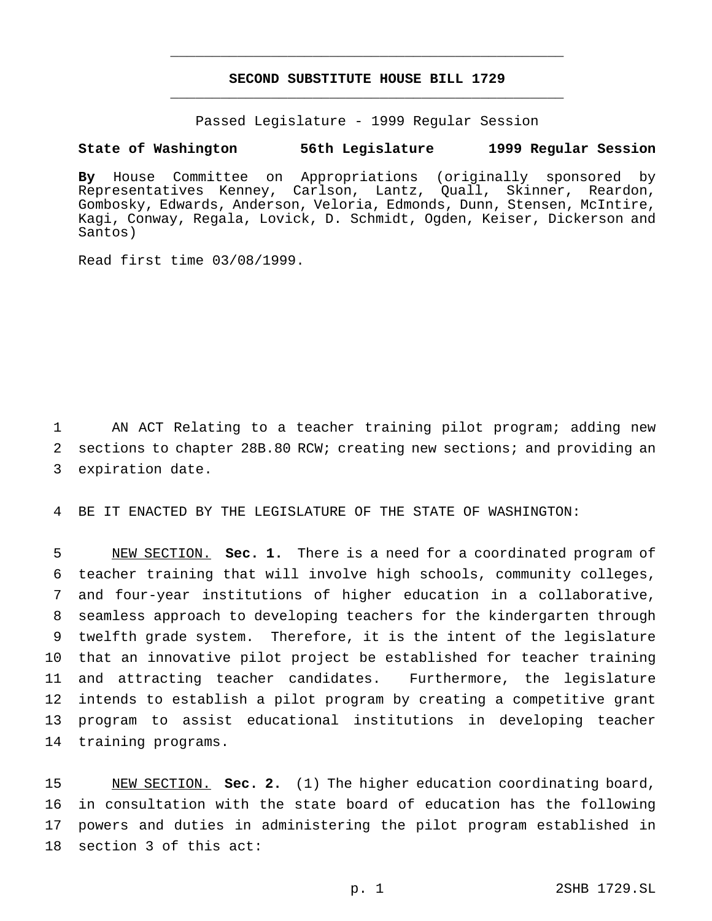## **SECOND SUBSTITUTE HOUSE BILL 1729** \_\_\_\_\_\_\_\_\_\_\_\_\_\_\_\_\_\_\_\_\_\_\_\_\_\_\_\_\_\_\_\_\_\_\_\_\_\_\_\_\_\_\_\_\_\_\_

\_\_\_\_\_\_\_\_\_\_\_\_\_\_\_\_\_\_\_\_\_\_\_\_\_\_\_\_\_\_\_\_\_\_\_\_\_\_\_\_\_\_\_\_\_\_\_

Passed Legislature - 1999 Regular Session

## **State of Washington 56th Legislature 1999 Regular Session**

**By** House Committee on Appropriations (originally sponsored by Representatives Kenney, Carlson, Lantz, Quall, Skinner, Reardon, Gombosky, Edwards, Anderson, Veloria, Edmonds, Dunn, Stensen, McIntire, Kagi, Conway, Regala, Lovick, D. Schmidt, Ogden, Keiser, Dickerson and Santos)

Read first time 03/08/1999.

1 AN ACT Relating to a teacher training pilot program; adding new 2 sections to chapter 28B.80 RCW; creating new sections; and providing an 3 expiration date.

4 BE IT ENACTED BY THE LEGISLATURE OF THE STATE OF WASHINGTON:

 NEW SECTION. **Sec. 1.** There is a need for a coordinated program of teacher training that will involve high schools, community colleges, and four-year institutions of higher education in a collaborative, seamless approach to developing teachers for the kindergarten through twelfth grade system. Therefore, it is the intent of the legislature that an innovative pilot project be established for teacher training and attracting teacher candidates. Furthermore, the legislature intends to establish a pilot program by creating a competitive grant program to assist educational institutions in developing teacher training programs.

 NEW SECTION. **Sec. 2.** (1) The higher education coordinating board, in consultation with the state board of education has the following powers and duties in administering the pilot program established in section 3 of this act: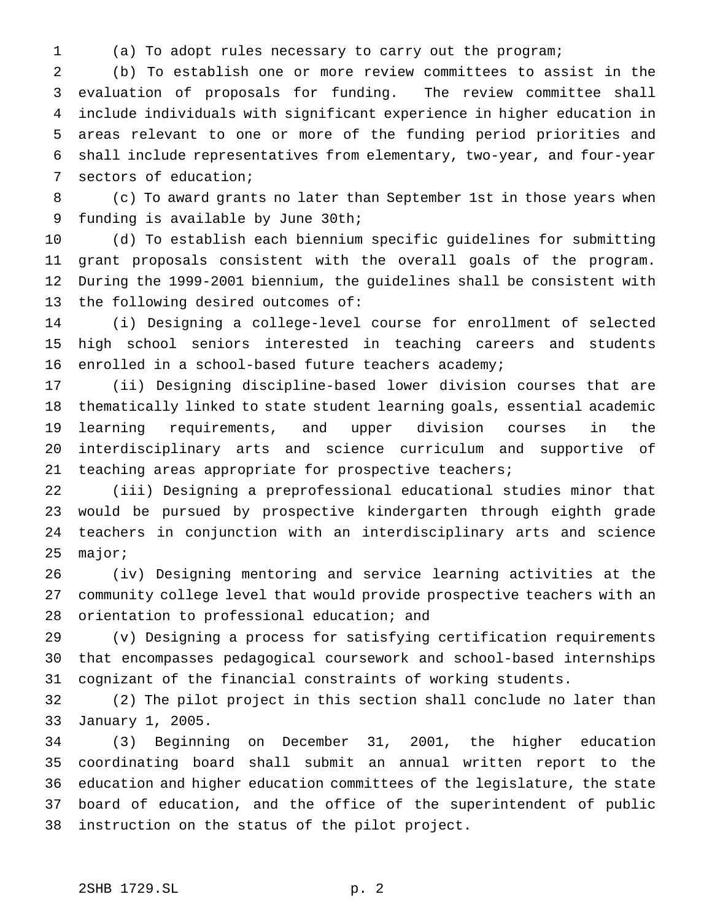(a) To adopt rules necessary to carry out the program;

 (b) To establish one or more review committees to assist in the evaluation of proposals for funding. The review committee shall include individuals with significant experience in higher education in areas relevant to one or more of the funding period priorities and shall include representatives from elementary, two-year, and four-year sectors of education;

 (c) To award grants no later than September 1st in those years when funding is available by June 30th;

 (d) To establish each biennium specific guidelines for submitting grant proposals consistent with the overall goals of the program. During the 1999-2001 biennium, the guidelines shall be consistent with the following desired outcomes of:

 (i) Designing a college-level course for enrollment of selected high school seniors interested in teaching careers and students enrolled in a school-based future teachers academy;

 (ii) Designing discipline-based lower division courses that are thematically linked to state student learning goals, essential academic learning requirements, and upper division courses in the interdisciplinary arts and science curriculum and supportive of teaching areas appropriate for prospective teachers;

 (iii) Designing a preprofessional educational studies minor that would be pursued by prospective kindergarten through eighth grade teachers in conjunction with an interdisciplinary arts and science major;

 (iv) Designing mentoring and service learning activities at the community college level that would provide prospective teachers with an orientation to professional education; and

 (v) Designing a process for satisfying certification requirements that encompasses pedagogical coursework and school-based internships cognizant of the financial constraints of working students.

 (2) The pilot project in this section shall conclude no later than January 1, 2005.

 (3) Beginning on December 31, 2001, the higher education coordinating board shall submit an annual written report to the education and higher education committees of the legislature, the state board of education, and the office of the superintendent of public instruction on the status of the pilot project.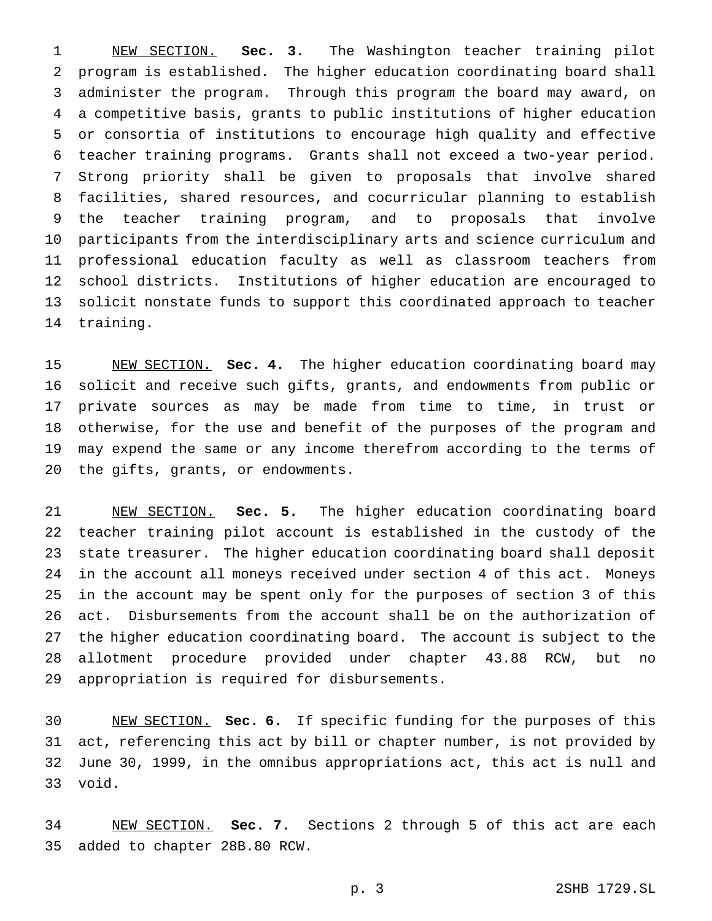NEW SECTION. **Sec. 3.** The Washington teacher training pilot program is established. The higher education coordinating board shall administer the program. Through this program the board may award, on a competitive basis, grants to public institutions of higher education or consortia of institutions to encourage high quality and effective teacher training programs. Grants shall not exceed a two-year period. Strong priority shall be given to proposals that involve shared facilities, shared resources, and cocurricular planning to establish the teacher training program, and to proposals that involve participants from the interdisciplinary arts and science curriculum and professional education faculty as well as classroom teachers from school districts. Institutions of higher education are encouraged to solicit nonstate funds to support this coordinated approach to teacher training.

 NEW SECTION. **Sec. 4.** The higher education coordinating board may solicit and receive such gifts, grants, and endowments from public or private sources as may be made from time to time, in trust or otherwise, for the use and benefit of the purposes of the program and may expend the same or any income therefrom according to the terms of the gifts, grants, or endowments.

 NEW SECTION. **Sec. 5.** The higher education coordinating board teacher training pilot account is established in the custody of the state treasurer. The higher education coordinating board shall deposit in the account all moneys received under section 4 of this act. Moneys in the account may be spent only for the purposes of section 3 of this act. Disbursements from the account shall be on the authorization of the higher education coordinating board. The account is subject to the allotment procedure provided under chapter 43.88 RCW, but no appropriation is required for disbursements.

 NEW SECTION. **Sec. 6.** If specific funding for the purposes of this act, referencing this act by bill or chapter number, is not provided by June 30, 1999, in the omnibus appropriations act, this act is null and void.

 NEW SECTION. **Sec. 7.** Sections 2 through 5 of this act are each added to chapter 28B.80 RCW.